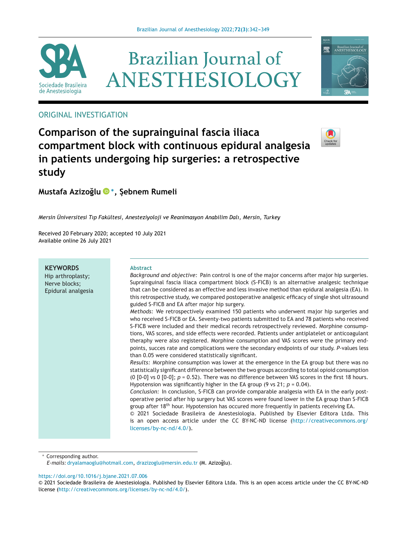

# **Brazilian Journal of** ANESTHESIOLOGY



# ORIGINAL INVESTIGATION

# **Comparison of the suprainguinal fascia iliaca compartment block with continuous epidural analgesia in patients undergoing hip surgeries: a retrospective study**



**Mustafa Azizo˘gl[u](https://orcid.org/0000-0002-8266-5203) <sup>∗</sup>, ¸ebnem S Rumeli**

*Mersin Üniversitesi Tıp Fakültesi, Anesteziyoloji ve Reanimasyon Anabilim Dalı, Mersin, Turkey*

Received 20 February 2020; accepted 10 July 2021 Available online 26 July 2021

**KEYWORDS** Hip arthroplasty; Nerve blocks; Epidural analgesia

#### **Abstract**

*Background and objective:* Pain control is one of the major concerns after major hip surgeries. Suprainguinal fascia iliaca compartment block (S-FICB) is an alternative analgesic technique that can be considered as an effective and less invasive method than epidural analgesia (EA). In this retrospective study, we compared postoperative analgesic efficacy of single shot ultrasound guided S-FICB and EA after major hip surgery.

*Methods:* We retrospectively examined 150 patients who underwent major hip surgeries and who received S-FICB or EA. Seventy-two patients submitted to EA and 78 patients who received S-FICB were included and their medical records retrospectively reviewed. Morphine consumptions, VAS scores, and side effects were recorded. Patients under antiplatelet or anticoagulant theraphy were also registered. Morphine consumption and VAS scores were the primary endpoints, succes rate and complications were the secondary endpoints of our study. *P*-values less than 0.05 were considered statistically significant.

*Results:* Morphine consumption was lower at the emergence in the EA group but there was no statistically significant difference between the two groups according to total opioid consumption (0 [0-0] vs 0 [0-0]; *p* = 0.52). There was no difference between VAS scores in the first 18 hours. Hypotension was significantly higher in the EA group (9 vs 21; *p* = 0.04).

*Conclusion:* In conclusion, S-FICB can provide comparable analgesia with EA in the early postoperative period after hip surgery but VAS scores were found lower in the EA group than S-FICB group after 18<sup>th</sup> hour. Hypotension has occured more frequently in patients receiving EA.

© 2021 Sociedade Brasileira de Anestesiologia. Published by Elsevier Editora Ltda. This is an open access article under the CC BY-NC-ND license ([http://creativecommons.org/](http://creativecommons.org/licenses/by-nc-nd/4.0/) [licenses/by-nc-nd/4.0/\)](http://creativecommons.org/licenses/by-nc-nd/4.0/).

Corresponding author.

<https://doi.org/10.1016/j.bjane.2021.07.006>

*E-mails:* [dryalamaoglu@hotmail.com,](mailto:dryalamaoglu@hotmail.com) [drazizoglu@mersin.edu.tr](mailto:drazizoglu@mersin.edu.tr) (M. Azizo˘glu).

<sup>©</sup> 2021 Sociedade Brasileira de Anestesiologia. Published by Elsevier Editora Ltda. This is an open access article under the CC BY-NC-ND license (<http://creativecommons.org/licenses/by-nc-nd/4.0/>).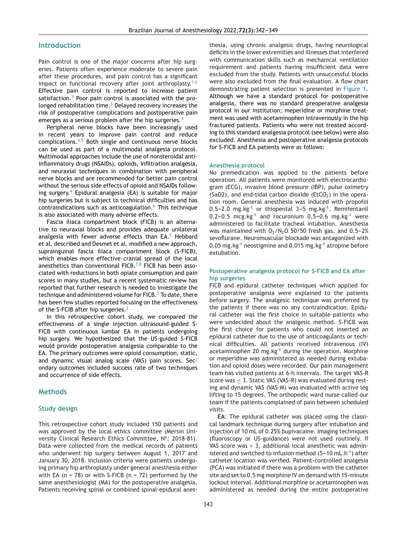#### **Introduction**

Pain control is one of the major concerns after hip surgeries. Patients often experience moderate to severe pain after these procedures, and pain control has a significant impact on functional recovery after joint arthroplasty.<sup>[1,2](#page-6-0)</sup> Effective pain control is reported to increase patient satisfaction. $3$  Poor pain control is associated with the prolonged rehabilitation time. $3$  Delayed recovery increases the risk of postoperative complications and postoperative pain emerges as a serious problem after the hip surgeries. $3$ 

Peripheral nerve blocks have been increasingly used in recent years to improve pain control and reduce complications.[4,5](#page-6-0) Both single and continuous nerve blocks can be used as part of a multimodal analgesia protocol. Multimodal approaches include the use of nonsteroidal antiinflammatory drugs (NSAIDs), opioids, infiltration analgesia, and neuraxial techniques in combination with peripheral nerve blocks and are recommended for better pain control without the serious side effects of opioid and NSAIDs following surgery.[4](#page-6-0) Epidural analgesia (EA) is suitable for major hip surgeries but is subject to technical difficulties and has contraindications such as anticoagulation.<sup>[6](#page-6-0)</sup> This technique is also associated with many adverse effects.

Fascia iliaca compartment block (FICB) is an alternative to neuraxial blocks and provides adequate unilateral analgesia with fewer adverse effects than  $EA<sup>2</sup>$  $EA<sup>2</sup>$  $EA<sup>2</sup>$  Hebbard et al. described and Desmet et al. modified a new approach, suprainguinal fascia iliaca compartment block (S-FICB), which enables more effective cranial spread of the local anesthetics than conventional FICB.<sup>[7,8](#page-6-0)</sup> FICB has been associated with reductions in both opiate consumption and pain scores in many studies, but a recent systematic review has reported that further research is needed to investigate the technique and administered volume for  $FICB$ .<sup>3</sup> [T](#page-6-0)o date, there has been few studies reported focusing on the effectiveness of the S-FCIB after hip surgeries. $3$ 

In this retrospective cohort study, we compared the effectiveness of a single injection ultrasound-guided S-FICB with continuous lumbar EA in patients undergoing hip surgery. We hypothesized that the US-guided S-FICB would provide postoperative analgesia comparable to the EA. The primary outcomes were opioid consumption, static, and dynamic visual analog scale (VAS) pain scores. Secondary outcomes included success rate of two techniques and occurrence of side effects.

#### **Methods**

#### **Study design**

This retrospective cohort study included 150 patients and was approved by the local ethics committee (Mersin University Clinical Research Ethics Committee, N°: 2018-81). Data were collected from the medical records of patients who underwent hip surgery between August 1, 2017 and January 30, 2018. Inclusion criteria were patients undergoing primary hip arthroplasty under general anesthesia either with EA ( $n = 78$ ) or with S-FICB ( $n = 72$ ) performed by the same anesthesiologist (MA) for the postoperative analgesia. Patients receiving spinal or combined spinal-epidural anesthesia, using chronic analgesic drugs, having neurological deficits in the lower extremities and illnesses that interfered with communication skills such as mechanical ventilation requirement and patients having insufficient data were excluded from the study. Patients with unsuccessful blocks were also excluded from the final evaluation. A flow chart demonstrating patient selection is presented in [Figure](#page-2-0) 1. Although we have a standard protocol for postoperative analgesia, there was no standard preoperative analgesia protocol in our institution; meperidine or morphine treatment was used with acetaminophen intravenously in the hip fractured patients. Patients who were not treated according to this standard analgesia protocol (see below) were also excluded. Anesthesia and postoperative analgesia protocols for S-FICB and EA patients were as follows:

#### **Anesthesia protocol**

No premedication was applied to the patients before operation. All patients were monitored with electrocardiogram (ECG), invasive blood pressure (IBP), pulse oximetry (SaO2), and end-tidal carbon dioxide (EtCO<sub>2</sub>) in the operation room. General anesthesia was induced with propofol 0.5-2.0 mg.kg<sup>-1</sup> or thiopental 3-5 mg.kg<sup>-1</sup>. Remifentanil  $0.2-0.5$  mcg.kg<sup>-1</sup> and rocuronium  $0.5-0.6$  mg.kg<sup>-1</sup> were administered to facilitate tracheal intubation. Anesthesia was maintained with  $O_2/N_2O$  50/50 fresh gas, and 0.5-2% sevoflurane. Neuromuscular blockade was antagonized with 0.05 mg.kg $^{-1}$  neostigmine and 0,015 mg.kg $^{-1}$  atropine before extubation.

#### **Postoperative analgesia protocol for S-FICB and EA after hip surgeries**

FICB and epidural catheter techniques which applied for postoperative analgesia were explained to the patients before surgery. The analgesic technique was preferred by the patients if there was no any contraindication. Epidural catheter was the first choice in suitable patients who were undecided about the analgesic method. S-FICB was the first choice for patients who could not inserted an epidural catheter due to the use of anticoagulants or technical difficulties. All patients received intravenous (IV) acetaminophen 20 mg.kg $^{-1}$  during the operation. Morphine or meperidine was administered as needed during extubation and opioid doses were recorded. Our pain management team has visited patients at 6-h intervals. The target VAS-R score was  $\leq$  3. Static VAS (VAS-R) was evaluated during resting and dynamic VAS (VAS-M) was evaluated with active leg lifting to 15 degrees. The orthopedic ward nurse called our team if the patients complained of pain between scheduled visits.

**EA**: The epidural catheter was placed using the classical landmark technique during surgery after intubation and injection of 10 mL of 0.25% bupivacaine. Imaging techniques (fluoroscopy or US-guidance) were not used routinely. If VAS score was > 3, additional local anesthetic was administered and switched to infusion method  $(5-10 \text{ mL} \cdot \text{h}^{-1})$  after catheter location was verified. Patient-controlled analgesia (PCA) was initiated if there was a problem with the catheter site and set to 0.5 mg morphine IV on demand with 15-minute lockout interval. Additional morphine or acetaminophen was administered as needed during the entire postoperative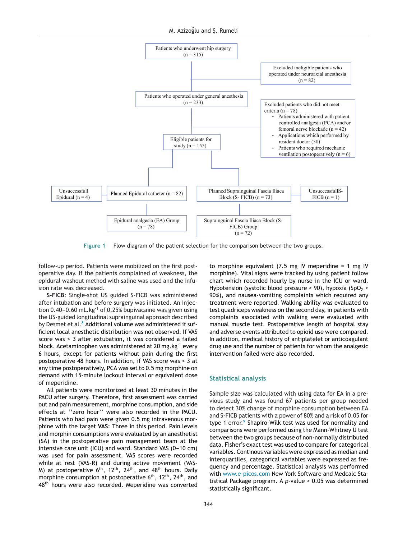<span id="page-2-0"></span>

**Figure 1** Flow diagram of the patient selection for the comparison between the two groups.

follow-up period. Patients were mobilized on the first postoperative day. If the patients complained of weakness, the epidural washout method with saline was used and the infusion rate was decreased.

**S-FICB**: Single-shot US guided S-FICB was administered after intubation and before surgery was initiated. An injection 0.40–0.60 mL.kg<sup>-1</sup> of 0.25% bupivacaine was given using the US-guided longitudinal suprainguinal approach described by Desmet et al. $8$  [A](#page-6-0)dditional volume was administered if sufficient local anesthetic distribution was not observed. If VAS score was > 3 after extubation, it was considered a failed block. Acetaminophen was administered at 20 mg.kg-1 every 6 hours, except for patients without pain during the first postoperative 48 hours. In addition, if VAS score was > 3 at any time postoperatively, PCA was set to 0.5 mg morphine on demand with 15-minute lockout interval or equivalent dose of meperidine.

All patients were monitorized at least 30 minutes in the PACU after surgery. Therefore, first assessment was carried out and pain measurement, morphine consumption, and side effects at ''zero hour'' were also recorded in the PACU. Patients who had pain were given 0.5 mg intravenous morphine with the target **VAS**: Three in this period. Pain levels and morphin consumptions were evaluated by an anesthetist (SA) in the postoperative pain management team at the intensive care unit (ICU) and ward. Standard VAS  $(0-10 \text{ cm})$ was used for pain assessment. VAS scores were recorded while at rest (VAS-R) and during active movement (VAS-M) at postoperative 6<sup>th</sup>, 12<sup>th</sup>, 24<sup>th</sup>, and 48<sup>th</sup> hours. Daily morphine consumption at postoperative 6<sup>th</sup>, 12<sup>th</sup>, 24<sup>th</sup>, and 48<sup>th</sup> hours were also recorded. Meperidine was converted

to morphine equivalent  $(7.5 \text{ mg} \text{ IV} \text{ m} \text{e} \text{ peridine} = 1 \text{ mg} \text{ IV}$ morphine). Vital signs were tracked by using patient follow chart which recorded hourly by nurse in the ICU or ward. Hypotension (systolic blood pressure  $\leq$  90), hypoxia (SpO<sub>2</sub>  $\leq$ 90%), and nausea-vomiting complaints which required any treatment were reported. Walking ability was evaluated to test quadriceps weakness on the second day, in patients with complaints associated with walking were evaluated with manual muscle test. Postoperative length of hospital stay and adverse events attributed to opioid use were compared. In addition, medical history of antiplatelet or anticoagulant drug use and the number of patients for whom the analgesic intervention failed were also recorded.

#### **Statistical analysis**

Sample size was calculated with using data for EA in a previous study and was found 67 patients per group needed to detect 30% change of morphine consumption between EA and S-FICB patients with a power of 80% and a risk of 0.05 for type 1 error.<sup>[9](#page-6-0)</sup> Shapiro-Wilk test was used for normality and comparisons were performed using the Mann-Whitney U test between the two groups because of non-normally distributed data. Fisher's exact test was used to compare for categorical variables. Continous variables were expressed as median and interquartiles, categorical variables were expressed as frequency and percentage. Statistical analysis was performed with [www.e-picos.com](http://www.e-picos.com) New York Software and Medcalc Statistical Package program. A *p*-value < 0.05 was determined statistically significant.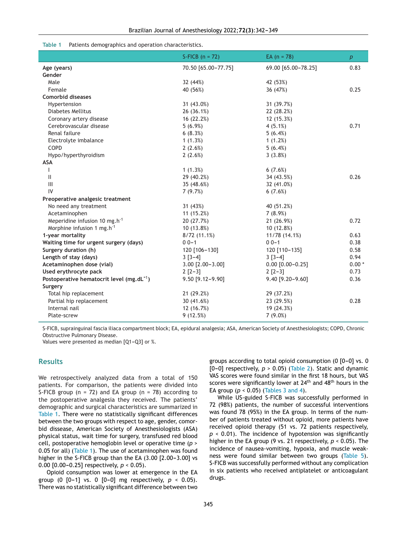#### **Table 1** Patients demographics and operation characteristics.

|                                                       | S-FICB $(n = 72)$      | EA $(n = 78)$          | $\boldsymbol{p}$ |
|-------------------------------------------------------|------------------------|------------------------|------------------|
| Age (years)                                           | 70.50 [65.00-77.75]    | 69.00 [65.00-78.25]    | 0.83             |
| Gender                                                |                        |                        |                  |
| Male                                                  | 32 (44%)               | 42 (53%)               |                  |
| Female                                                | 40 (56%)               | 36 (47%)               | 0.25             |
| <b>Comorbid diseases</b>                              |                        |                        |                  |
| Hypertension                                          | 31 (43.0%)             | 31 (39.7%)             |                  |
| <b>Diabetes Mellitus</b>                              | 26 (36.1%)             | 22 (28.2%)             |                  |
| Coronary artery disease                               | 16 (22.2%)             | 12 (15.3%)             |                  |
| Cerebrovascular disease                               | 5(6.9%)                | 4(5.1%)                | 0.71             |
| Renal failure                                         | 6(8.3%)                | 5(6.4%)                |                  |
| Electrolyte imbalance                                 | 1(1.3%)                | 1(1.2%)                |                  |
| COPD                                                  | 2(2.6%)                | 5(6.4%)                |                  |
| Hypo/hyperthyroidism                                  | 2(2.6%)                | 3(3.8%)                |                  |
| <b>ASA</b>                                            |                        |                        |                  |
| ı                                                     | 1(1.3%)                | 6(7.6%)                |                  |
| $\mathbf{II}$                                         | 29 (40.2%)             | 34 (43.5%)             | 0.26             |
| $\begin{array}{c} \Pi \end{array}$                    | 35 (48.6%)             | 32 (41.0%)             |                  |
| IV                                                    | 7(9.7%)                | 6(7.6%)                |                  |
| Preoperative analgesic treatment                      |                        |                        |                  |
| No need any treatment                                 | 31 (43%)               | 40 (51.2%)             |                  |
| Acetaminophen                                         | 11(15.2%)              | 7(8.9%)                |                  |
| Meperidine infusion 10 mg.h <sup>-1</sup>             | 20 (27.7%)             | 21 (26.9%)             | 0.72             |
| Morphine infusion 1 mg.h <sup>-1</sup>                | 10 (13.8%)             | 10 (12.8%)             |                  |
| 1-year mortality                                      | 8/72(11.1%)            | 11/78 (14.1%)          | 0.63             |
| Waiting time for urgent surgery (days)                | $00 - 1$               | $00 - 1$               | 0.38             |
| Surgery duration (h)                                  | 120 [106-130]          | 120 [110-135]          | 0.58             |
| Length of stay (days)                                 | $3 [3-4]$              | $3 [3-4]$              | 0.94             |
| Acetaminophen dose (vial)                             | $3.00$ $[2.00 - 3.00]$ | $0.00$ $[0.00 - 0.25]$ | $0.00*$          |
| Used erythrocyte pack                                 | $2$ $[2-3]$            | $2$ [2-3]              | 0.73             |
| Postoperative hematocrit level (mg.dL <sup>-1</sup> ) | 9.50 [9.12-9.90]       | 9.40 [9.20-9.60]       | 0.36             |
| Surgery                                               |                        |                        |                  |
| Total hip replacement                                 | 21 (29.2%)             | 29 (37.2%)             |                  |
| Partial hip replacement                               | 30 (41.6%)             | 23 (29.5%)             | 0.28             |
| Internal nail                                         | 12 (16.7%)             | 19 (24.3%)             |                  |
| Plate-screw                                           | 9(12.5%)               | $7(9.0\%)$             |                  |

S-FICB, suprainguinal fascia iliaca compartment block; EA, epidural analgesia; ASA, American Society of Anesthesiologists; COPD, Chronic Obstructive Pulmonary Disease.

Values were presented as median  $[Q1-Q3]$  or %.

## **Results**

We retrospectively analyzed data from a total of 150 patients. For comparison, the patients were divided into S-FICB group ( $n = 72$ ) and EA group ( $n = 78$ ) according to the postoperative analgesia they received. The patients' demographic and surgical characteristics are summarized in Table 1. There were no statistically significant differences between the two groups with respect to age, gender, comorbid dissease, American Society of Anesthesiologists (ASA) physical status, wait time for surgery, transfused red blood cell, postoperative hemoglobin level or operative time (*p* > 0.05 for all) (Table 1). The use of acetaminophen was found higher in the S-FICB group than the EA  $(3.00 [2.00-3.00]$  vs 0.00  $[0.00-0.25]$  respectively,  $p < 0.05$ ).

Opioid consumption was lower at emergence in the EA group (0  $[0-1]$  vs. 0  $[0-0]$  mg respectively,  $p < 0.05$ ). There was no statistically significant difference between two groups according to total opioid consumption  $(0 [0-0]$  vs. 0 [0-0] respectively,  $p > 0.05$ ) ([Table](#page-4-0) 2). Static and dynamic VAS scores were found similar in the first 18 hours, but VAS scores were significantly lower at 24<sup>th</sup> and 48<sup>th</sup> hours in the EA group  $(p < 0.05)$  ([Tables](#page-4-0) 3 and 4).

While US-guided S-FICB was successfully performed in 72 (98%) patients, the number of successful interventions was found 78 (95%) in the EA group. In terms of the number of patients treated without opioid, more patients have received opioid therapy (51 vs. 72 patients respectively, *p* < 0.01). The incidence of hypotension was significantly higher in the EA group (9 vs. 21 respectively, *p* < 0.05). The incidence of nausea-vomiting, hypoxia, and muscle weakness were found similar between two groups [\(Table](#page-4-0) 5). S-FICB was successfully performed without any complication in six patients who received antiplatelet or anticoagulant drugs.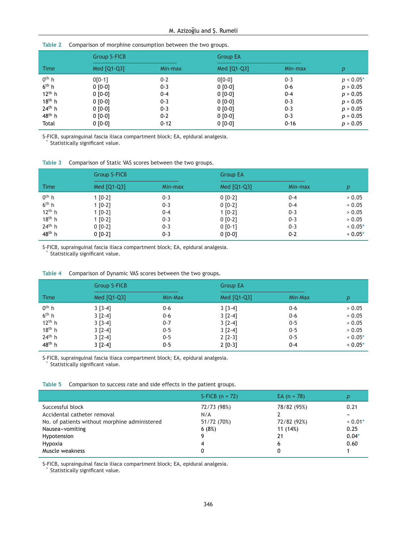#### <span id="page-4-0"></span>**Table 2** Comparison of morphine consumption between the two groups.

|                    | <b>Group S-FICB</b> |          |             | <b>Group EA</b> |             |
|--------------------|---------------------|----------|-------------|-----------------|-------------|
| <b>Time</b>        | Med [Q1-Q3]         | Min-max  | Med [Q1-Q3] | Min-max         | p           |
| $0th$ h            | $0[0-1]$            | $0 - 2$  | $0[0-0]$    | $0 - 3$         | $p < 0.05*$ |
| 6 <sup>th</sup> h  | $0 [0-0]$           | $0 - 3$  | $0 [0-0]$   | $0-6$           | p > 0.05    |
| $12^{th}$ h        | $0 [0-0]$           | 0-4      | $0 [0-0]$   | $0 - 4$         | p > 0.05    |
| $18th$ h           | $0 [0-0]$           | $0 - 3$  | $0 [0-0]$   | $0 - 3$         | p > 0.05    |
| $24th$ h           | $0 [0-0]$           | $0 - 3$  | $0 [0-0]$   | $0 - 3$         | p > 0.05    |
| $48^{\text{th}}$ h | $0 [0-0]$           | $0 - 2$  | $0 [0-0]$   | $0 - 3$         | p > 0.05    |
| Total              | $0 [0-0]$           | $0 - 12$ | $0 [0-0]$   | $0 - 16$        | p > 0.05    |

S-FICB, suprainguinal fascia iliaca compartment block; EA, epidural analgesia.

Statistically significant value.

|  | Table 3 Comparison of Static VAS scores between the two groups. |  |  |  |  |  |
|--|-----------------------------------------------------------------|--|--|--|--|--|
|--|-----------------------------------------------------------------|--|--|--|--|--|

|                   | <b>Group S-FICB</b> |         |             | <b>Group EA</b> |           |
|-------------------|---------------------|---------|-------------|-----------------|-----------|
| <b>Time</b>       | Med [Q1-Q3]         | Min-max | Med [Q1-Q3] | Min-max         | р         |
| $0th$ h           | $1 [0-2]$           | $0 - 3$ | $0 [0-2]$   | $0 - 4$         | > 0.05    |
| 6 <sup>th</sup> h | $1 [0-2]$           | $0 - 3$ | $0 [0-2]$   | $0 - 4$         | > 0.05    |
| $12th$ h          | $1 [0-2]$           | $0 - 4$ | $1 [0-2]$   | $0 - 3$         | > 0.05    |
| $18th$ h          | $1 [0-2]$           | $0 - 3$ | $0 [0-2]$   | $0 - 3$         | > 0.05    |
| $24th$ h          | $0 [0-2]$           | $0 - 3$ | $0 [0-1]$   | $0 - 3$         | $< 0.05*$ |
| $48th$ h          | $0 [0-2]$           | $0 - 3$ | $0 [0-0]$   | $0 - 2$         | $< 0.05*$ |

S-FICB, suprainguinal fascia iliaca compartment block; EA, epidural analgesia. Statistically significant value.

|  | Table 4 Comparison of Dynamic VAS scores between the two groups. |  |  |  |  |
|--|------------------------------------------------------------------|--|--|--|--|
|--|------------------------------------------------------------------|--|--|--|--|

|                              | <b>Group S-FICB</b>    |                    | <b>Group EA</b>        |                    |                     |
|------------------------------|------------------------|--------------------|------------------------|--------------------|---------------------|
| <b>Time</b>                  | Med [Q1-Q3]            | Min-Max            | Med [Q1-Q3]            | Min-Max            | p                   |
| $0th$ h<br>6 <sup>th</sup> h | $3 [3-4]$              | 0-6                | $3 [3-4]$              | 0-6                | > 0.05              |
| $12th$ h                     | $3 [2-4]$<br>$3 [3-4]$ | $0 - 6$<br>$0 - 7$ | $3 [2-4]$<br>$3 [2-4]$ | $0 - 6$<br>$0 - 5$ | > 0.05<br>> 0.05    |
| $18th$ h<br>$24th$ h         | $3 [2-4]$<br>$3 [2-4]$ | $0 - 5$<br>$0 - 5$ | $3 [2-4]$<br>$2$ [2-3] | $0 - 5$<br>$0 - 5$ | > 0.05<br>$< 0.05*$ |
| 48 <sup>th</sup> h           | $3 [2-4]$              | $0 - 5$            | $2[0-3]$               | $0 - 4$            | $0.05*$             |

S-FICB, suprainguinal fascia iliaca compartment block; EA, epidural analgesia. Statistically significant value.

**Table 5** Comparison to success rate and side effects in the patient groups.

|                                               | S-FICB $(n = 72)$ | EA $(n = 78)$ |           |
|-----------------------------------------------|-------------------|---------------|-----------|
| Successful block                              | 72/73 (98%)       | 78/82 (95%)   | 0.21      |
| Accidental catheter removal                   | N/A               |               |           |
| No. of patients without morphine administered | 51/72 (70%)       | 72/82 (92%)   | $< 0.01*$ |
| Nausea-vomiting                               | 6(8%)             | 11 (14%)      | 0.25      |
| Hypotension                                   |                   | 21            | $0.04*$   |
| Hypoxia                                       | 4                 | 6             | 0.60      |
| Muscle weakness                               |                   |               |           |

S-FICB, suprainguinal fascia iliaca compartment block; EA, epidural analgesia.

Statistically significant value.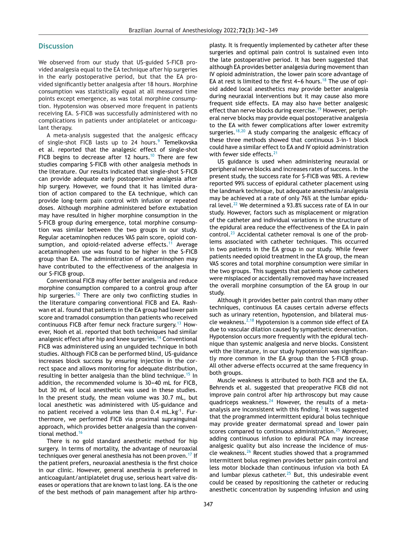#### **Discussion**

We observed from our study that US-guided S-FICB provided analgesia equal to the EA technique after hip surgeries in the early postoperative period, but that the EA provided significantly better analgesia after 18 hours. Morphine consumption was statistically equal at all measured time points except emergence, as was total morphine consumption. Hypotension was observed more frequent in patients receiving EA. S-FICB was successfully administered with no complications in patients under antiplatelet or anticoagulant therapy.

A meta-analysis suggested that the analgesic efficacy of single-shot FICB lasts up to 24 hours.<sup>[9](#page-6-0)</sup> Temelkovska et al. reported that the analgesic effect of single-shot FICB begins to decrease after 12 hours.<sup>[10](#page-6-0)</sup> There are few studies comparing S-FICB with other analgesia methods in the literature. Our results indicated that single-shot S-FICB can provide adequate early postoperative analgesia after hip surgery. However, we found that it has limited duration of action compared to the EA technique, which can provide long-term pain control with infusion or repeated doses. Although morphine administered before extubation may have resulted in higher morphine consumption in the S-FICB group during emergence, total morphine consumption was similar between the two groups in our study. Regular acetaminophen reduces VAS pain score, opioid con-sumption, and opioid-related adverse effects.<sup>[11](#page-6-0)</sup> Average acetaminophen use was found to be higher in the S-FICB group than EA. The administration of acetaminophen may have contributed to the effectiveness of the analgesia in our S-FICB group.

Conventional FICB may offer better analgesia and reduce morphine consumption compared to a control group after hip surgeries.<sup>[12](#page-6-0)</sup> There are only two conflicting studies in the literature comparing conventional FICB and EA. Rashwan et al. found that patients in the EA group had lower pain score and tramadol consumption than patients who received continuous FICB after femur neck fracture surgery.[13](#page-6-0) However, Nooh et al. reported that both techniques had similar analgesic effect after hip and knee surgeries.<sup>[14](#page-6-0)</sup> Conventional FICB was administered using an unguided technique in both studies. Although FICB can be performed blind, US-guidance increases block success by ensuring injection in the correct space and allows monitoring for adequate distribution, resulting in better analgesia than the blind technique.<sup>[15](#page-6-0)</sup> In addition, the recommended volume is 30-40 mL for FICB, but 30 mL of local anesthetic was used in these studies. In the present study, the mean volume was 30.7 mL, but local anesthetic was administered with US-guidance and no patient received a volume less than  $0.4$  mL.kg<sup>-1</sup>. Furthermore, we performed FICB via proximal suprainguinal approach, which provides better analgesia than the conven-tional method.<sup>[16](#page-6-0)</sup>

There is no gold standard anesthetic method for hip surgery. In terms of mortality, the advantage of neuroaxial techniques over general anesthesia has not been proven.[17](#page-6-0) If the patient prefers, neuroaxial anesthesia is the first choice in our clinic. However, general anesthesia is preferred in anticoagulant/antiplatelet drug use, serious heart valve diseases or operations that are known to last long. EA is the one of the best methods of pain management after hip arthroplasty. It is frequently implemented by catheter after these surgeries and optimal pain control is sustained even into the late postoperative period. It has been suggested that although EA provides better analgesia during movement than IV opioid administration, the lower pain score advantage of EA at rest is limited to the first  $4-6$  hours.<sup>[18](#page-6-0)</sup> The use of opioid added local anesthetics may provide better analgesia during neuraxial interventions but it may cause also more frequent side effects. EA may also have better analgesic effect than nerve blocks during exercise.<sup>[19](#page-6-0)</sup> However, peripheral nerve blocks may provide equal postoperative analgesia to the EA with fewer complications after lower extremity surgeries.<sup>[18,20](#page-6-0)</sup> A study comparing the analgesic efficacy of these three methods showed that continuous 3-in-1 block could have a similar effect to EA and IV opioid administration with fewer side effects.<sup>[21](#page-7-0)</sup>

US guidance is used when administering neuraxial or peripheral nerve blocks and increases rates of success. In the present study, the success rate for S-FICB was 98%. A review reported 99% success of epidural catheter placement using the landmark technique, but adequate anesthesia/analgesia may be achieved at a rate of only 76% at the lumbar epidu-ral level.<sup>[22](#page-7-0)</sup> We determined a 93.8% success rate of EA in our study. However, factors such as misplacement or migration of the catheter and individual variations in the structure of the epidural area reduce the effectiveness of the EA in pain control.<sup>[23](#page-7-0)</sup> Accidental catheter removal is one of the problems associated with catheter techniques. This occurred in two patients in the EA group in our study. While fewer patients needed opioid treatment in the EA group, the mean VAS scores and total morphine consumption were similar in the two groups. This suggests that patients whose catheters were misplaced or accidentally removed may have increased the overall morphine consumption of the EA group in our study.

Although it provides better pain control than many other techniques, continuous EA causes certain adverse effects such as urinary retention, hypotension, and bilateral muscle weakness. $2,18$  Hypotension is a common side effect of EA due to vascular dilation caused by sympathetic denervation. Hypotension occurs more frequently with the epidural technique than systemic analgesia and nerve blocks. Consistent with the literature, in our study hypotension was significantly more common in the EA group than the S-FICB group. All other adverse effects occurred at the same frequency in both groups.

Muscle weakness is attributed to both FICB and the EA. Behrends et al. suggested that preoperative FICB did not improve pain control after hip arthroscopy but may cause quadriceps weakness. $^{24}$  $^{24}$  $^{24}$  However, the results of a metaanalysis are inconsistent with this finding. $3$  [It](#page-6-0) was suggested that the programmed intermittent epidural bolus technique may provide greater dermatomal spread and lower pain scores compared to continuous administration.<sup>[25](#page-7-0)</sup> Moreover, adding continuous infusion to epidural PCA may increase analgesic quality but also increase the incidence of muscle weakness.[26](#page-7-0) Recent studies showed that a programmed intermittent bolus regimen provides better pain control and less motor blockade than continuous infusion via both EA and lumbar plexus catheter. $25$  But, this undesirable event could be ceased by repositioning the catheter or reducing anesthetic concentration by suspending infusion and using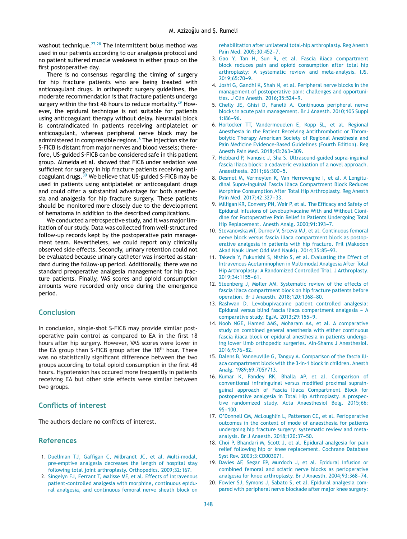<span id="page-6-0"></span>washout technique. $27,28$  The intermittent bolus method was used in our patients according to our analgesia protocol and no patient suffered muscle weakness in either group on the first postoperative day.

There is no consensus regarding the timing of surgery for hip fracture patients who are being treated with anticoagulant drugs. In orthopedic surgery guidelines, the moderate recommendation is that fracture patients undergo surgery within the first 48 hours to reduce mortality.<sup>[29](#page-7-0)</sup> However, the epidural technique is not suitable for patients using anticoagulant therapy without delay. Neuraxial block is contraindicated in patients receiving antiplatelet or anticoagulant, whereas peripheral nerve block may be administered in compressible regions.<sup>6</sup> The injection site for S-FICB is distant from major nerves and blood vessels; therefore, US-guided S-FICB can be considered safe in this patient group. Almeida et al. showed that FICB under sedation was sufficient for surgery in hip fracture patients receiving anticoagulant drugs.[30](#page-7-0) We believe that US-guided S-FICB may be used in patients using antiplatelet or anticoagulant drugs and could offer a substantial advantage for both anesthesia and analgesia for hip fracture surgery. These patients should be monitored more closely due to the development of hematoma in addition to the described complications.

We conducted a retrospective study, and it was major limitation of our study. Data was collected from well-structured follow-up records kept by the postoperative pain management team. Nevertheless, we could report only clinically observed side effects. Secondly, urinary retention could not be evaluated because urinary catheter was inserted as standard during the follow-up period. Additionally, there was no standard preoperative analgesia management for hip fracture patients. Finally, VAS scores and opioid consumption amounts were recorded only once during the emergence period.

# **Conclusion**

In conclusion, single-shot S-FICB may provide similar postoperative pain control as compared to EA in the first 18 hours after hip surgery. However, VAS scores were lower in the EA group than S-FICB group after the  $18<sup>th</sup>$  hour. There was no statistically significant difference between the two groups according to total opioid consumption in the first 48 hours. Hypotension has occured more frequently in patients receiving EA but other side effects were similar between two groups.

## **Conflicts of interest**

The authors declare no conflicts of interest.

#### **References**

- 1. [Duellman](http://refhub.elsevier.com/S0104-0014(21)00287-6/sbref0005) [TJ,](http://refhub.elsevier.com/S0104-0014(21)00287-6/sbref0005) [Gaffigan](http://refhub.elsevier.com/S0104-0014(21)00287-6/sbref0005) [C,](http://refhub.elsevier.com/S0104-0014(21)00287-6/sbref0005) [Milbrandt](http://refhub.elsevier.com/S0104-0014(21)00287-6/sbref0005) [JC,](http://refhub.elsevier.com/S0104-0014(21)00287-6/sbref0005) [et](http://refhub.elsevier.com/S0104-0014(21)00287-6/sbref0005) [al.](http://refhub.elsevier.com/S0104-0014(21)00287-6/sbref0005) [Multi-modal,](http://refhub.elsevier.com/S0104-0014(21)00287-6/sbref0005) [pre-emptive](http://refhub.elsevier.com/S0104-0014(21)00287-6/sbref0005) [analgesia](http://refhub.elsevier.com/S0104-0014(21)00287-6/sbref0005) [decreases](http://refhub.elsevier.com/S0104-0014(21)00287-6/sbref0005) [the](http://refhub.elsevier.com/S0104-0014(21)00287-6/sbref0005) [length](http://refhub.elsevier.com/S0104-0014(21)00287-6/sbref0005) [of](http://refhub.elsevier.com/S0104-0014(21)00287-6/sbref0005) [hospital](http://refhub.elsevier.com/S0104-0014(21)00287-6/sbref0005) [stay](http://refhub.elsevier.com/S0104-0014(21)00287-6/sbref0005) [following](http://refhub.elsevier.com/S0104-0014(21)00287-6/sbref0005) [total](http://refhub.elsevier.com/S0104-0014(21)00287-6/sbref0005) [joint](http://refhub.elsevier.com/S0104-0014(21)00287-6/sbref0005) [arthroplasty.](http://refhub.elsevier.com/S0104-0014(21)00287-6/sbref0005) [Orthopedics.](http://refhub.elsevier.com/S0104-0014(21)00287-6/sbref0005) [2009;32:167.](http://refhub.elsevier.com/S0104-0014(21)00287-6/sbref0005)
- 2. [Singelyn](http://refhub.elsevier.com/S0104-0014(21)00287-6/sbref0010) [FJ,](http://refhub.elsevier.com/S0104-0014(21)00287-6/sbref0010) [Ferrant](http://refhub.elsevier.com/S0104-0014(21)00287-6/sbref0010) [T,](http://refhub.elsevier.com/S0104-0014(21)00287-6/sbref0010) [Malisse](http://refhub.elsevier.com/S0104-0014(21)00287-6/sbref0010) [MF,](http://refhub.elsevier.com/S0104-0014(21)00287-6/sbref0010) [et](http://refhub.elsevier.com/S0104-0014(21)00287-6/sbref0010) [al.](http://refhub.elsevier.com/S0104-0014(21)00287-6/sbref0010) [Effects](http://refhub.elsevier.com/S0104-0014(21)00287-6/sbref0010) [of](http://refhub.elsevier.com/S0104-0014(21)00287-6/sbref0010) [intravenous](http://refhub.elsevier.com/S0104-0014(21)00287-6/sbref0010) [patient-controlled](http://refhub.elsevier.com/S0104-0014(21)00287-6/sbref0010) [analgesia](http://refhub.elsevier.com/S0104-0014(21)00287-6/sbref0010) [with](http://refhub.elsevier.com/S0104-0014(21)00287-6/sbref0010) [morphine,](http://refhub.elsevier.com/S0104-0014(21)00287-6/sbref0010) [continuous](http://refhub.elsevier.com/S0104-0014(21)00287-6/sbref0010) [epidu](http://refhub.elsevier.com/S0104-0014(21)00287-6/sbref0010)[ral](http://refhub.elsevier.com/S0104-0014(21)00287-6/sbref0010) [analgesia,](http://refhub.elsevier.com/S0104-0014(21)00287-6/sbref0010) [and](http://refhub.elsevier.com/S0104-0014(21)00287-6/sbref0010) [continuous](http://refhub.elsevier.com/S0104-0014(21)00287-6/sbref0010) [femoral](http://refhub.elsevier.com/S0104-0014(21)00287-6/sbref0010) [nerve](http://refhub.elsevier.com/S0104-0014(21)00287-6/sbref0010) [sheath](http://refhub.elsevier.com/S0104-0014(21)00287-6/sbref0010) [block](http://refhub.elsevier.com/S0104-0014(21)00287-6/sbref0010) [on](http://refhub.elsevier.com/S0104-0014(21)00287-6/sbref0010)

[rehabilitation](http://refhub.elsevier.com/S0104-0014(21)00287-6/sbref0010) [after](http://refhub.elsevier.com/S0104-0014(21)00287-6/sbref0010) [unilateral](http://refhub.elsevier.com/S0104-0014(21)00287-6/sbref0010) [total-hip](http://refhub.elsevier.com/S0104-0014(21)00287-6/sbref0010) [arthroplasty.](http://refhub.elsevier.com/S0104-0014(21)00287-6/sbref0010) [Reg](http://refhub.elsevier.com/S0104-0014(21)00287-6/sbref0010) [Anesth](http://refhub.elsevier.com/S0104-0014(21)00287-6/sbref0010) [Pain](http://refhub.elsevier.com/S0104-0014(21)00287-6/sbref0010) [Med.](http://refhub.elsevier.com/S0104-0014(21)00287-6/sbref0010) 2005:30:452-7.

- 3. [Gao](http://refhub.elsevier.com/S0104-0014(21)00287-6/sbref0015) [Y,](http://refhub.elsevier.com/S0104-0014(21)00287-6/sbref0015) [Tan](http://refhub.elsevier.com/S0104-0014(21)00287-6/sbref0015) [H,](http://refhub.elsevier.com/S0104-0014(21)00287-6/sbref0015) [Sun](http://refhub.elsevier.com/S0104-0014(21)00287-6/sbref0015) [R,](http://refhub.elsevier.com/S0104-0014(21)00287-6/sbref0015) [et](http://refhub.elsevier.com/S0104-0014(21)00287-6/sbref0015) [al.](http://refhub.elsevier.com/S0104-0014(21)00287-6/sbref0015) [Fascia](http://refhub.elsevier.com/S0104-0014(21)00287-6/sbref0015) [iliaca](http://refhub.elsevier.com/S0104-0014(21)00287-6/sbref0015) [compartment](http://refhub.elsevier.com/S0104-0014(21)00287-6/sbref0015) [block](http://refhub.elsevier.com/S0104-0014(21)00287-6/sbref0015) [reduces](http://refhub.elsevier.com/S0104-0014(21)00287-6/sbref0015) [pain](http://refhub.elsevier.com/S0104-0014(21)00287-6/sbref0015) [and](http://refhub.elsevier.com/S0104-0014(21)00287-6/sbref0015) [opioid](http://refhub.elsevier.com/S0104-0014(21)00287-6/sbref0015) [consumption](http://refhub.elsevier.com/S0104-0014(21)00287-6/sbref0015) [after](http://refhub.elsevier.com/S0104-0014(21)00287-6/sbref0015) [total](http://refhub.elsevier.com/S0104-0014(21)00287-6/sbref0015) [hip](http://refhub.elsevier.com/S0104-0014(21)00287-6/sbref0015) [arthroplasty:](http://refhub.elsevier.com/S0104-0014(21)00287-6/sbref0015) [A](http://refhub.elsevier.com/S0104-0014(21)00287-6/sbref0015) [systematic](http://refhub.elsevier.com/S0104-0014(21)00287-6/sbref0015) [review](http://refhub.elsevier.com/S0104-0014(21)00287-6/sbref0015) [and](http://refhub.elsevier.com/S0104-0014(21)00287-6/sbref0015) [meta-analysis.](http://refhub.elsevier.com/S0104-0014(21)00287-6/sbref0015) [IJS.](http://refhub.elsevier.com/S0104-0014(21)00287-6/sbref0015) 2019;65:70-9.
- 4. [Joshi](http://refhub.elsevier.com/S0104-0014(21)00287-6/sbref0020) [G,](http://refhub.elsevier.com/S0104-0014(21)00287-6/sbref0020) [Gandhi](http://refhub.elsevier.com/S0104-0014(21)00287-6/sbref0020) [K,](http://refhub.elsevier.com/S0104-0014(21)00287-6/sbref0020) [Shah](http://refhub.elsevier.com/S0104-0014(21)00287-6/sbref0020) [N,](http://refhub.elsevier.com/S0104-0014(21)00287-6/sbref0020) [et](http://refhub.elsevier.com/S0104-0014(21)00287-6/sbref0020) [al.](http://refhub.elsevier.com/S0104-0014(21)00287-6/sbref0020) [Peripheral](http://refhub.elsevier.com/S0104-0014(21)00287-6/sbref0020) [nerve](http://refhub.elsevier.com/S0104-0014(21)00287-6/sbref0020) [blocks](http://refhub.elsevier.com/S0104-0014(21)00287-6/sbref0020) [in](http://refhub.elsevier.com/S0104-0014(21)00287-6/sbref0020) [the](http://refhub.elsevier.com/S0104-0014(21)00287-6/sbref0020) [management](http://refhub.elsevier.com/S0104-0014(21)00287-6/sbref0020) [of](http://refhub.elsevier.com/S0104-0014(21)00287-6/sbref0020) [postoperative](http://refhub.elsevier.com/S0104-0014(21)00287-6/sbref0020) [pain:](http://refhub.elsevier.com/S0104-0014(21)00287-6/sbref0020) [challenges](http://refhub.elsevier.com/S0104-0014(21)00287-6/sbref0020) [and](http://refhub.elsevier.com/S0104-0014(21)00287-6/sbref0020) [opportuni](http://refhub.elsevier.com/S0104-0014(21)00287-6/sbref0020)[ties.](http://refhub.elsevier.com/S0104-0014(21)00287-6/sbref0020) [J](http://refhub.elsevier.com/S0104-0014(21)00287-6/sbref0020) [Clin](http://refhub.elsevier.com/S0104-0014(21)00287-6/sbref0020) [Anesth.](http://refhub.elsevier.com/S0104-0014(21)00287-6/sbref0020) 2016;35:524-9.
- 5. [Chelly](http://refhub.elsevier.com/S0104-0014(21)00287-6/sbref0025) [JE,](http://refhub.elsevier.com/S0104-0014(21)00287-6/sbref0025) [Ghisi](http://refhub.elsevier.com/S0104-0014(21)00287-6/sbref0025) [D,](http://refhub.elsevier.com/S0104-0014(21)00287-6/sbref0025) [Fanelli](http://refhub.elsevier.com/S0104-0014(21)00287-6/sbref0025) [A.](http://refhub.elsevier.com/S0104-0014(21)00287-6/sbref0025) [Continuous](http://refhub.elsevier.com/S0104-0014(21)00287-6/sbref0025) [peripheral](http://refhub.elsevier.com/S0104-0014(21)00287-6/sbref0025) [nerve](http://refhub.elsevier.com/S0104-0014(21)00287-6/sbref0025) [blocks](http://refhub.elsevier.com/S0104-0014(21)00287-6/sbref0025) [in](http://refhub.elsevier.com/S0104-0014(21)00287-6/sbref0025) [acute](http://refhub.elsevier.com/S0104-0014(21)00287-6/sbref0025) [pain](http://refhub.elsevier.com/S0104-0014(21)00287-6/sbref0025) [management.](http://refhub.elsevier.com/S0104-0014(21)00287-6/sbref0025) [Br](http://refhub.elsevier.com/S0104-0014(21)00287-6/sbref0025) [J](http://refhub.elsevier.com/S0104-0014(21)00287-6/sbref0025) [Anaesth.](http://refhub.elsevier.com/S0104-0014(21)00287-6/sbref0025) [2010;105](http://refhub.elsevier.com/S0104-0014(21)00287-6/sbref0025) [Suppl](http://refhub.elsevier.com/S0104-0014(21)00287-6/sbref0025)  $1:186 - 96$ .
- 6. [Horlocker](http://refhub.elsevier.com/S0104-0014(21)00287-6/sbref0030) [TT,](http://refhub.elsevier.com/S0104-0014(21)00287-6/sbref0030) [Vandermeuelen](http://refhub.elsevier.com/S0104-0014(21)00287-6/sbref0030) [E,](http://refhub.elsevier.com/S0104-0014(21)00287-6/sbref0030) [Kopp](http://refhub.elsevier.com/S0104-0014(21)00287-6/sbref0030) [SL,](http://refhub.elsevier.com/S0104-0014(21)00287-6/sbref0030) [et](http://refhub.elsevier.com/S0104-0014(21)00287-6/sbref0030) [al.](http://refhub.elsevier.com/S0104-0014(21)00287-6/sbref0030) [Regional](http://refhub.elsevier.com/S0104-0014(21)00287-6/sbref0030) [Anesthesia](http://refhub.elsevier.com/S0104-0014(21)00287-6/sbref0030) [in](http://refhub.elsevier.com/S0104-0014(21)00287-6/sbref0030) [the](http://refhub.elsevier.com/S0104-0014(21)00287-6/sbref0030) [Patient](http://refhub.elsevier.com/S0104-0014(21)00287-6/sbref0030) [Receiving](http://refhub.elsevier.com/S0104-0014(21)00287-6/sbref0030) [Antithrombotic](http://refhub.elsevier.com/S0104-0014(21)00287-6/sbref0030) [or](http://refhub.elsevier.com/S0104-0014(21)00287-6/sbref0030) [Throm](http://refhub.elsevier.com/S0104-0014(21)00287-6/sbref0030)[bolytic](http://refhub.elsevier.com/S0104-0014(21)00287-6/sbref0030) [Therapy](http://refhub.elsevier.com/S0104-0014(21)00287-6/sbref0030) [American](http://refhub.elsevier.com/S0104-0014(21)00287-6/sbref0030) [Society](http://refhub.elsevier.com/S0104-0014(21)00287-6/sbref0030) [of](http://refhub.elsevier.com/S0104-0014(21)00287-6/sbref0030) [Regional](http://refhub.elsevier.com/S0104-0014(21)00287-6/sbref0030) [Anesthesia](http://refhub.elsevier.com/S0104-0014(21)00287-6/sbref0030) [and](http://refhub.elsevier.com/S0104-0014(21)00287-6/sbref0030) [Pain](http://refhub.elsevier.com/S0104-0014(21)00287-6/sbref0030) [Medicine](http://refhub.elsevier.com/S0104-0014(21)00287-6/sbref0030) [Evidence-Based](http://refhub.elsevier.com/S0104-0014(21)00287-6/sbref0030) [Guidelines](http://refhub.elsevier.com/S0104-0014(21)00287-6/sbref0030) [\(Fourth](http://refhub.elsevier.com/S0104-0014(21)00287-6/sbref0030) [Edition\).](http://refhub.elsevier.com/S0104-0014(21)00287-6/sbref0030) [Reg](http://refhub.elsevier.com/S0104-0014(21)00287-6/sbref0030) [Anesth](http://refhub.elsevier.com/S0104-0014(21)00287-6/sbref0030) [Pain](http://refhub.elsevier.com/S0104-0014(21)00287-6/sbref0030) [Med.](http://refhub.elsevier.com/S0104-0014(21)00287-6/sbref0030) [2018;43:263](http://refhub.elsevier.com/S0104-0014(21)00287-6/sbref0030)-[309.](http://refhub.elsevier.com/S0104-0014(21)00287-6/sbref0030)
- 7. [Hebbard](http://refhub.elsevier.com/S0104-0014(21)00287-6/sbref0035) [P,](http://refhub.elsevier.com/S0104-0014(21)00287-6/sbref0035) [Ivanusic](http://refhub.elsevier.com/S0104-0014(21)00287-6/sbref0035) [J,](http://refhub.elsevier.com/S0104-0014(21)00287-6/sbref0035) [Sha](http://refhub.elsevier.com/S0104-0014(21)00287-6/sbref0035) [S.](http://refhub.elsevier.com/S0104-0014(21)00287-6/sbref0035) [Ultrasound-guided](http://refhub.elsevier.com/S0104-0014(21)00287-6/sbref0035) [supra-inguinal](http://refhub.elsevier.com/S0104-0014(21)00287-6/sbref0035) [fascia](http://refhub.elsevier.com/S0104-0014(21)00287-6/sbref0035) [iliaca](http://refhub.elsevier.com/S0104-0014(21)00287-6/sbref0035) [block:](http://refhub.elsevier.com/S0104-0014(21)00287-6/sbref0035) [a](http://refhub.elsevier.com/S0104-0014(21)00287-6/sbref0035) [cadaveric](http://refhub.elsevier.com/S0104-0014(21)00287-6/sbref0035) [evaluation](http://refhub.elsevier.com/S0104-0014(21)00287-6/sbref0035) [of](http://refhub.elsevier.com/S0104-0014(21)00287-6/sbref0035) [a](http://refhub.elsevier.com/S0104-0014(21)00287-6/sbref0035) [novel](http://refhub.elsevier.com/S0104-0014(21)00287-6/sbref0035) [approach.](http://refhub.elsevier.com/S0104-0014(21)00287-6/sbref0035) [Anaesthesia.](http://refhub.elsevier.com/S0104-0014(21)00287-6/sbref0035) 2011;66:300-5.
- 8. [Desmet](http://refhub.elsevier.com/S0104-0014(21)00287-6/sbref0040) [M,](http://refhub.elsevier.com/S0104-0014(21)00287-6/sbref0040) [Vermeylen](http://refhub.elsevier.com/S0104-0014(21)00287-6/sbref0040) [K,](http://refhub.elsevier.com/S0104-0014(21)00287-6/sbref0040) [Van](http://refhub.elsevier.com/S0104-0014(21)00287-6/sbref0040) [Herreweghe](http://refhub.elsevier.com/S0104-0014(21)00287-6/sbref0040) [I,](http://refhub.elsevier.com/S0104-0014(21)00287-6/sbref0040) [et](http://refhub.elsevier.com/S0104-0014(21)00287-6/sbref0040) [al.](http://refhub.elsevier.com/S0104-0014(21)00287-6/sbref0040) [A](http://refhub.elsevier.com/S0104-0014(21)00287-6/sbref0040) [Longitu](http://refhub.elsevier.com/S0104-0014(21)00287-6/sbref0040)[dinal](http://refhub.elsevier.com/S0104-0014(21)00287-6/sbref0040) [Supra-Inguinal](http://refhub.elsevier.com/S0104-0014(21)00287-6/sbref0040) [Fascia](http://refhub.elsevier.com/S0104-0014(21)00287-6/sbref0040) [Iliaca](http://refhub.elsevier.com/S0104-0014(21)00287-6/sbref0040) [Compartment](http://refhub.elsevier.com/S0104-0014(21)00287-6/sbref0040) [Block](http://refhub.elsevier.com/S0104-0014(21)00287-6/sbref0040) [Reduces](http://refhub.elsevier.com/S0104-0014(21)00287-6/sbref0040) [Morphine](http://refhub.elsevier.com/S0104-0014(21)00287-6/sbref0040) [Consumption](http://refhub.elsevier.com/S0104-0014(21)00287-6/sbref0040) [After](http://refhub.elsevier.com/S0104-0014(21)00287-6/sbref0040) [Total](http://refhub.elsevier.com/S0104-0014(21)00287-6/sbref0040) [Hip](http://refhub.elsevier.com/S0104-0014(21)00287-6/sbref0040) [Arthroplasty.](http://refhub.elsevier.com/S0104-0014(21)00287-6/sbref0040) [Reg](http://refhub.elsevier.com/S0104-0014(21)00287-6/sbref0040) [Anesth](http://refhub.elsevier.com/S0104-0014(21)00287-6/sbref0040) [Pain](http://refhub.elsevier.com/S0104-0014(21)00287-6/sbref0040) [Med.](http://refhub.elsevier.com/S0104-0014(21)00287-6/sbref0040) 2017;42:327-33.
- 9. [Milligan](http://refhub.elsevier.com/S0104-0014(21)00287-6/sbref0045) [KR,](http://refhub.elsevier.com/S0104-0014(21)00287-6/sbref0045) [Convery](http://refhub.elsevier.com/S0104-0014(21)00287-6/sbref0045) [PN,](http://refhub.elsevier.com/S0104-0014(21)00287-6/sbref0045) [Weir](http://refhub.elsevier.com/S0104-0014(21)00287-6/sbref0045) [P,](http://refhub.elsevier.com/S0104-0014(21)00287-6/sbref0045) [et](http://refhub.elsevier.com/S0104-0014(21)00287-6/sbref0045) [al.](http://refhub.elsevier.com/S0104-0014(21)00287-6/sbref0045) [The](http://refhub.elsevier.com/S0104-0014(21)00287-6/sbref0045) [Efficacy](http://refhub.elsevier.com/S0104-0014(21)00287-6/sbref0045) [and](http://refhub.elsevier.com/S0104-0014(21)00287-6/sbref0045) [Safety](http://refhub.elsevier.com/S0104-0014(21)00287-6/sbref0045) [of](http://refhub.elsevier.com/S0104-0014(21)00287-6/sbref0045) [Epidural](http://refhub.elsevier.com/S0104-0014(21)00287-6/sbref0045) [Infusions](http://refhub.elsevier.com/S0104-0014(21)00287-6/sbref0045) [of](http://refhub.elsevier.com/S0104-0014(21)00287-6/sbref0045) [Levobupivacaine](http://refhub.elsevier.com/S0104-0014(21)00287-6/sbref0045) [With](http://refhub.elsevier.com/S0104-0014(21)00287-6/sbref0045) [and](http://refhub.elsevier.com/S0104-0014(21)00287-6/sbref0045) [Without](http://refhub.elsevier.com/S0104-0014(21)00287-6/sbref0045) [Cloni](http://refhub.elsevier.com/S0104-0014(21)00287-6/sbref0045)[dine](http://refhub.elsevier.com/S0104-0014(21)00287-6/sbref0045) [for](http://refhub.elsevier.com/S0104-0014(21)00287-6/sbref0045) [Postoperative](http://refhub.elsevier.com/S0104-0014(21)00287-6/sbref0045) [Pain](http://refhub.elsevier.com/S0104-0014(21)00287-6/sbref0045) [Relief](http://refhub.elsevier.com/S0104-0014(21)00287-6/sbref0045) [in](http://refhub.elsevier.com/S0104-0014(21)00287-6/sbref0045) [Patients](http://refhub.elsevier.com/S0104-0014(21)00287-6/sbref0045) [Undergoing](http://refhub.elsevier.com/S0104-0014(21)00287-6/sbref0045) [Total](http://refhub.elsevier.com/S0104-0014(21)00287-6/sbref0045) [Hip](http://refhub.elsevier.com/S0104-0014(21)00287-6/sbref0045) [Replacement.](http://refhub.elsevier.com/S0104-0014(21)00287-6/sbref0045) [Anesth](http://refhub.elsevier.com/S0104-0014(21)00287-6/sbref0045) [Analg.](http://refhub.elsevier.com/S0104-0014(21)00287-6/sbref0045) 2000;91:393-7.
- 10. [Stevanovska](http://refhub.elsevier.com/S0104-0014(21)00287-6/sbref0050) [MT,](http://refhub.elsevier.com/S0104-0014(21)00287-6/sbref0050) [Durnev](http://refhub.elsevier.com/S0104-0014(21)00287-6/sbref0050) [V,](http://refhub.elsevier.com/S0104-0014(21)00287-6/sbref0050) [Srceva](http://refhub.elsevier.com/S0104-0014(21)00287-6/sbref0050) [MJ,](http://refhub.elsevier.com/S0104-0014(21)00287-6/sbref0050) [et](http://refhub.elsevier.com/S0104-0014(21)00287-6/sbref0050) [al.](http://refhub.elsevier.com/S0104-0014(21)00287-6/sbref0050) [Continuous](http://refhub.elsevier.com/S0104-0014(21)00287-6/sbref0050) [femoral](http://refhub.elsevier.com/S0104-0014(21)00287-6/sbref0050) [nerve](http://refhub.elsevier.com/S0104-0014(21)00287-6/sbref0050) [block](http://refhub.elsevier.com/S0104-0014(21)00287-6/sbref0050) [versus](http://refhub.elsevier.com/S0104-0014(21)00287-6/sbref0050) [fascia](http://refhub.elsevier.com/S0104-0014(21)00287-6/sbref0050) [iliaca](http://refhub.elsevier.com/S0104-0014(21)00287-6/sbref0050) [compartment](http://refhub.elsevier.com/S0104-0014(21)00287-6/sbref0050) [block](http://refhub.elsevier.com/S0104-0014(21)00287-6/sbref0050) [as](http://refhub.elsevier.com/S0104-0014(21)00287-6/sbref0050) [postop](http://refhub.elsevier.com/S0104-0014(21)00287-6/sbref0050)[erative](http://refhub.elsevier.com/S0104-0014(21)00287-6/sbref0050) [analgesia](http://refhub.elsevier.com/S0104-0014(21)00287-6/sbref0050) [in](http://refhub.elsevier.com/S0104-0014(21)00287-6/sbref0050) [patients](http://refhub.elsevier.com/S0104-0014(21)00287-6/sbref0050) [with](http://refhub.elsevier.com/S0104-0014(21)00287-6/sbref0050) [hip](http://refhub.elsevier.com/S0104-0014(21)00287-6/sbref0050) [fracture.](http://refhub.elsevier.com/S0104-0014(21)00287-6/sbref0050) [Pril](http://refhub.elsevier.com/S0104-0014(21)00287-6/sbref0050) [\(Makedon](http://refhub.elsevier.com/S0104-0014(21)00287-6/sbref0050) [Akad](http://refhub.elsevier.com/S0104-0014(21)00287-6/sbref0050) [Nauk](http://refhub.elsevier.com/S0104-0014(21)00287-6/sbref0050) [Umet](http://refhub.elsevier.com/S0104-0014(21)00287-6/sbref0050) [Odd](http://refhub.elsevier.com/S0104-0014(21)00287-6/sbref0050) [Med](http://refhub.elsevier.com/S0104-0014(21)00287-6/sbref0050) [Nauki\).](http://refhub.elsevier.com/S0104-0014(21)00287-6/sbref0050) 2014;35:85-93.
- 11. [Takeda](http://refhub.elsevier.com/S0104-0014(21)00287-6/sbref0055) [Y,](http://refhub.elsevier.com/S0104-0014(21)00287-6/sbref0055) [Fukunishi](http://refhub.elsevier.com/S0104-0014(21)00287-6/sbref0055) [S,](http://refhub.elsevier.com/S0104-0014(21)00287-6/sbref0055) [Nishio](http://refhub.elsevier.com/S0104-0014(21)00287-6/sbref0055) [S,](http://refhub.elsevier.com/S0104-0014(21)00287-6/sbref0055) [et](http://refhub.elsevier.com/S0104-0014(21)00287-6/sbref0055) [al.](http://refhub.elsevier.com/S0104-0014(21)00287-6/sbref0055) [Evaluating](http://refhub.elsevier.com/S0104-0014(21)00287-6/sbref0055) [the](http://refhub.elsevier.com/S0104-0014(21)00287-6/sbref0055) [Effect](http://refhub.elsevier.com/S0104-0014(21)00287-6/sbref0055) [of](http://refhub.elsevier.com/S0104-0014(21)00287-6/sbref0055) [Intravenous](http://refhub.elsevier.com/S0104-0014(21)00287-6/sbref0055) [Acetaminophen](http://refhub.elsevier.com/S0104-0014(21)00287-6/sbref0055) [in](http://refhub.elsevier.com/S0104-0014(21)00287-6/sbref0055) [Multimodal](http://refhub.elsevier.com/S0104-0014(21)00287-6/sbref0055) [Analgesia](http://refhub.elsevier.com/S0104-0014(21)00287-6/sbref0055) [After](http://refhub.elsevier.com/S0104-0014(21)00287-6/sbref0055) [Total](http://refhub.elsevier.com/S0104-0014(21)00287-6/sbref0055) [Hip](http://refhub.elsevier.com/S0104-0014(21)00287-6/sbref0055) [Arthroplasty:](http://refhub.elsevier.com/S0104-0014(21)00287-6/sbref0055) [A](http://refhub.elsevier.com/S0104-0014(21)00287-6/sbref0055) [Randomized](http://refhub.elsevier.com/S0104-0014(21)00287-6/sbref0055) [Controlled](http://refhub.elsevier.com/S0104-0014(21)00287-6/sbref0055) [Trial.](http://refhub.elsevier.com/S0104-0014(21)00287-6/sbref0055) [J](http://refhub.elsevier.com/S0104-0014(21)00287-6/sbref0055) [Arthroplasty.](http://refhub.elsevier.com/S0104-0014(21)00287-6/sbref0055) 2019:34:1155-61.
- 12. [Steenberg](http://refhub.elsevier.com/S0104-0014(21)00287-6/sbref0060) [J,](http://refhub.elsevier.com/S0104-0014(21)00287-6/sbref0060) [Møller](http://refhub.elsevier.com/S0104-0014(21)00287-6/sbref0060) [AM.](http://refhub.elsevier.com/S0104-0014(21)00287-6/sbref0060) [Systematic](http://refhub.elsevier.com/S0104-0014(21)00287-6/sbref0060) [review](http://refhub.elsevier.com/S0104-0014(21)00287-6/sbref0060) [of](http://refhub.elsevier.com/S0104-0014(21)00287-6/sbref0060) [the](http://refhub.elsevier.com/S0104-0014(21)00287-6/sbref0060) [effects](http://refhub.elsevier.com/S0104-0014(21)00287-6/sbref0060) [of](http://refhub.elsevier.com/S0104-0014(21)00287-6/sbref0060) [fascia](http://refhub.elsevier.com/S0104-0014(21)00287-6/sbref0060) [iliaca](http://refhub.elsevier.com/S0104-0014(21)00287-6/sbref0060) [compartment](http://refhub.elsevier.com/S0104-0014(21)00287-6/sbref0060) [block](http://refhub.elsevier.com/S0104-0014(21)00287-6/sbref0060) [on](http://refhub.elsevier.com/S0104-0014(21)00287-6/sbref0060) [hip](http://refhub.elsevier.com/S0104-0014(21)00287-6/sbref0060) [fracture](http://refhub.elsevier.com/S0104-0014(21)00287-6/sbref0060) [patients](http://refhub.elsevier.com/S0104-0014(21)00287-6/sbref0060) [before](http://refhub.elsevier.com/S0104-0014(21)00287-6/sbref0060) [operation.](http://refhub.elsevier.com/S0104-0014(21)00287-6/sbref0060) [Br](http://refhub.elsevier.com/S0104-0014(21)00287-6/sbref0060) [J](http://refhub.elsevier.com/S0104-0014(21)00287-6/sbref0060) [Anaesth.](http://refhub.elsevier.com/S0104-0014(21)00287-6/sbref0060) [2018;120:1368](http://refhub.elsevier.com/S0104-0014(21)00287-6/sbref0060)[-80.](http://refhub.elsevier.com/S0104-0014(21)00287-6/sbref0060)
- 13. [Rashwan](http://refhub.elsevier.com/S0104-0014(21)00287-6/sbref0065) [D.](http://refhub.elsevier.com/S0104-0014(21)00287-6/sbref0065) [Levobupivacaine](http://refhub.elsevier.com/S0104-0014(21)00287-6/sbref0065) [patient](http://refhub.elsevier.com/S0104-0014(21)00287-6/sbref0065) [controlled](http://refhub.elsevier.com/S0104-0014(21)00287-6/sbref0065) [analgesia:](http://refhub.elsevier.com/S0104-0014(21)00287-6/sbref0065) [Epidural](http://refhub.elsevier.com/S0104-0014(21)00287-6/sbref0065) [versus](http://refhub.elsevier.com/S0104-0014(21)00287-6/sbref0065) [blind](http://refhub.elsevier.com/S0104-0014(21)00287-6/sbref0065) [fascia](http://refhub.elsevier.com/S0104-0014(21)00287-6/sbref0065) [iliaca](http://refhub.elsevier.com/S0104-0014(21)00287-6/sbref0065) [compartment](http://refhub.elsevier.com/S0104-0014(21)00287-6/sbref0065) [analgesia](http://refhub.elsevier.com/S0104-0014(21)00287-6/sbref0065)  $- A$  $- A$ [comparative](http://refhub.elsevier.com/S0104-0014(21)00287-6/sbref0065) [study.](http://refhub.elsevier.com/S0104-0014(21)00287-6/sbref0065) [EgJA.](http://refhub.elsevier.com/S0104-0014(21)00287-6/sbref0065) [2013;29:155](http://refhub.elsevier.com/S0104-0014(21)00287-6/sbref0065)-[9.](http://refhub.elsevier.com/S0104-0014(21)00287-6/sbref0065)
- 14. [Nooh](http://refhub.elsevier.com/S0104-0014(21)00287-6/sbref0070) [NGE,](http://refhub.elsevier.com/S0104-0014(21)00287-6/sbref0070) [Hamed](http://refhub.elsevier.com/S0104-0014(21)00287-6/sbref0070) [AMS,](http://refhub.elsevier.com/S0104-0014(21)00287-6/sbref0070) [Moharam](http://refhub.elsevier.com/S0104-0014(21)00287-6/sbref0070) [AA,](http://refhub.elsevier.com/S0104-0014(21)00287-6/sbref0070) [et](http://refhub.elsevier.com/S0104-0014(21)00287-6/sbref0070) [al.](http://refhub.elsevier.com/S0104-0014(21)00287-6/sbref0070) [A](http://refhub.elsevier.com/S0104-0014(21)00287-6/sbref0070) [comparative](http://refhub.elsevier.com/S0104-0014(21)00287-6/sbref0070) [study](http://refhub.elsevier.com/S0104-0014(21)00287-6/sbref0070) [on](http://refhub.elsevier.com/S0104-0014(21)00287-6/sbref0070) [combined](http://refhub.elsevier.com/S0104-0014(21)00287-6/sbref0070) [general](http://refhub.elsevier.com/S0104-0014(21)00287-6/sbref0070) [anesthesia](http://refhub.elsevier.com/S0104-0014(21)00287-6/sbref0070) [with](http://refhub.elsevier.com/S0104-0014(21)00287-6/sbref0070) [either](http://refhub.elsevier.com/S0104-0014(21)00287-6/sbref0070) [continuous](http://refhub.elsevier.com/S0104-0014(21)00287-6/sbref0070) [fascia](http://refhub.elsevier.com/S0104-0014(21)00287-6/sbref0070) [iliaca](http://refhub.elsevier.com/S0104-0014(21)00287-6/sbref0070) [block](http://refhub.elsevier.com/S0104-0014(21)00287-6/sbref0070) [or](http://refhub.elsevier.com/S0104-0014(21)00287-6/sbref0070) [epidural](http://refhub.elsevier.com/S0104-0014(21)00287-6/sbref0070) [anesthesia](http://refhub.elsevier.com/S0104-0014(21)00287-6/sbref0070) [in](http://refhub.elsevier.com/S0104-0014(21)00287-6/sbref0070) [patients](http://refhub.elsevier.com/S0104-0014(21)00287-6/sbref0070) [undergo](http://refhub.elsevier.com/S0104-0014(21)00287-6/sbref0070)[ing](http://refhub.elsevier.com/S0104-0014(21)00287-6/sbref0070) [lower](http://refhub.elsevier.com/S0104-0014(21)00287-6/sbref0070) [limb](http://refhub.elsevier.com/S0104-0014(21)00287-6/sbref0070) [orthopedic](http://refhub.elsevier.com/S0104-0014(21)00287-6/sbref0070) [surgeries.](http://refhub.elsevier.com/S0104-0014(21)00287-6/sbref0070) [Ain-Shams](http://refhub.elsevier.com/S0104-0014(21)00287-6/sbref0070) [J](http://refhub.elsevier.com/S0104-0014(21)00287-6/sbref0070) [Anesthesiol.](http://refhub.elsevier.com/S0104-0014(21)00287-6/sbref0070) 2016;9:76-82.
- 15. [Dalens](http://refhub.elsevier.com/S0104-0014(21)00287-6/sbref0075) [B,](http://refhub.elsevier.com/S0104-0014(21)00287-6/sbref0075) [Vanneuville](http://refhub.elsevier.com/S0104-0014(21)00287-6/sbref0075) [G,](http://refhub.elsevier.com/S0104-0014(21)00287-6/sbref0075) [Tanguy](http://refhub.elsevier.com/S0104-0014(21)00287-6/sbref0075) [A.](http://refhub.elsevier.com/S0104-0014(21)00287-6/sbref0075) [Comparison](http://refhub.elsevier.com/S0104-0014(21)00287-6/sbref0075) [of](http://refhub.elsevier.com/S0104-0014(21)00287-6/sbref0075) [the](http://refhub.elsevier.com/S0104-0014(21)00287-6/sbref0075) [fascia](http://refhub.elsevier.com/S0104-0014(21)00287-6/sbref0075) [ili](http://refhub.elsevier.com/S0104-0014(21)00287-6/sbref0075)[aca](http://refhub.elsevier.com/S0104-0014(21)00287-6/sbref0075) [compartment](http://refhub.elsevier.com/S0104-0014(21)00287-6/sbref0075) [block](http://refhub.elsevier.com/S0104-0014(21)00287-6/sbref0075) [with](http://refhub.elsevier.com/S0104-0014(21)00287-6/sbref0075) [the](http://refhub.elsevier.com/S0104-0014(21)00287-6/sbref0075) [3-in-1](http://refhub.elsevier.com/S0104-0014(21)00287-6/sbref0075) [block](http://refhub.elsevier.com/S0104-0014(21)00287-6/sbref0075) [in](http://refhub.elsevier.com/S0104-0014(21)00287-6/sbref0075) [children.](http://refhub.elsevier.com/S0104-0014(21)00287-6/sbref0075) [Anesth](http://refhub.elsevier.com/S0104-0014(21)00287-6/sbref0075) [Analg.](http://refhub.elsevier.com/S0104-0014(21)00287-6/sbref0075) [1989;69:705Y713.](http://refhub.elsevier.com/S0104-0014(21)00287-6/sbref0075)
- 16. [Kumar](http://refhub.elsevier.com/S0104-0014(21)00287-6/sbref0080) [K,](http://refhub.elsevier.com/S0104-0014(21)00287-6/sbref0080) [Pandey](http://refhub.elsevier.com/S0104-0014(21)00287-6/sbref0080) [RK,](http://refhub.elsevier.com/S0104-0014(21)00287-6/sbref0080) [Bhalla](http://refhub.elsevier.com/S0104-0014(21)00287-6/sbref0080) [AP,](http://refhub.elsevier.com/S0104-0014(21)00287-6/sbref0080) [et](http://refhub.elsevier.com/S0104-0014(21)00287-6/sbref0080) [al.](http://refhub.elsevier.com/S0104-0014(21)00287-6/sbref0080) [Comparison](http://refhub.elsevier.com/S0104-0014(21)00287-6/sbref0080) [of](http://refhub.elsevier.com/S0104-0014(21)00287-6/sbref0080) [conventional](http://refhub.elsevier.com/S0104-0014(21)00287-6/sbref0080) [infrainguinal](http://refhub.elsevier.com/S0104-0014(21)00287-6/sbref0080) [versus](http://refhub.elsevier.com/S0104-0014(21)00287-6/sbref0080) [modified](http://refhub.elsevier.com/S0104-0014(21)00287-6/sbref0080) [proximal](http://refhub.elsevier.com/S0104-0014(21)00287-6/sbref0080) [suprain](http://refhub.elsevier.com/S0104-0014(21)00287-6/sbref0080)[guinal](http://refhub.elsevier.com/S0104-0014(21)00287-6/sbref0080) [approach](http://refhub.elsevier.com/S0104-0014(21)00287-6/sbref0080) [of](http://refhub.elsevier.com/S0104-0014(21)00287-6/sbref0080) [Fascia](http://refhub.elsevier.com/S0104-0014(21)00287-6/sbref0080) [Iliaca](http://refhub.elsevier.com/S0104-0014(21)00287-6/sbref0080) [Compartment](http://refhub.elsevier.com/S0104-0014(21)00287-6/sbref0080) [Block](http://refhub.elsevier.com/S0104-0014(21)00287-6/sbref0080) [for](http://refhub.elsevier.com/S0104-0014(21)00287-6/sbref0080) [postoperative](http://refhub.elsevier.com/S0104-0014(21)00287-6/sbref0080) [analgesia](http://refhub.elsevier.com/S0104-0014(21)00287-6/sbref0080) [in](http://refhub.elsevier.com/S0104-0014(21)00287-6/sbref0080) [Total](http://refhub.elsevier.com/S0104-0014(21)00287-6/sbref0080) [Hip](http://refhub.elsevier.com/S0104-0014(21)00287-6/sbref0080) [Arthroplasty.](http://refhub.elsevier.com/S0104-0014(21)00287-6/sbref0080) [A](http://refhub.elsevier.com/S0104-0014(21)00287-6/sbref0080) [prospec](http://refhub.elsevier.com/S0104-0014(21)00287-6/sbref0080)[tive](http://refhub.elsevier.com/S0104-0014(21)00287-6/sbref0080) [randomized](http://refhub.elsevier.com/S0104-0014(21)00287-6/sbref0080) [study.](http://refhub.elsevier.com/S0104-0014(21)00287-6/sbref0080) [Acta](http://refhub.elsevier.com/S0104-0014(21)00287-6/sbref0080) [Anaesthesiol](http://refhub.elsevier.com/S0104-0014(21)00287-6/sbref0080) [Belg.](http://refhub.elsevier.com/S0104-0014(21)00287-6/sbref0080) [2015;66:](http://refhub.elsevier.com/S0104-0014(21)00287-6/sbref0080)  $95 - 100.$
- 17. [O'Donnell](http://refhub.elsevier.com/S0104-0014(21)00287-6/sbref0085) [CM,](http://refhub.elsevier.com/S0104-0014(21)00287-6/sbref0085) [McLoughlin](http://refhub.elsevier.com/S0104-0014(21)00287-6/sbref0085) [L,](http://refhub.elsevier.com/S0104-0014(21)00287-6/sbref0085) [Patterson](http://refhub.elsevier.com/S0104-0014(21)00287-6/sbref0085) [CC,](http://refhub.elsevier.com/S0104-0014(21)00287-6/sbref0085) [et](http://refhub.elsevier.com/S0104-0014(21)00287-6/sbref0085) [al.](http://refhub.elsevier.com/S0104-0014(21)00287-6/sbref0085) [Perioperative](http://refhub.elsevier.com/S0104-0014(21)00287-6/sbref0085) [outcomes](http://refhub.elsevier.com/S0104-0014(21)00287-6/sbref0085) [in](http://refhub.elsevier.com/S0104-0014(21)00287-6/sbref0085) [the](http://refhub.elsevier.com/S0104-0014(21)00287-6/sbref0085) [context](http://refhub.elsevier.com/S0104-0014(21)00287-6/sbref0085) [of](http://refhub.elsevier.com/S0104-0014(21)00287-6/sbref0085) [mode](http://refhub.elsevier.com/S0104-0014(21)00287-6/sbref0085) [of](http://refhub.elsevier.com/S0104-0014(21)00287-6/sbref0085) [anaesthesia](http://refhub.elsevier.com/S0104-0014(21)00287-6/sbref0085) [for](http://refhub.elsevier.com/S0104-0014(21)00287-6/sbref0085) [patients](http://refhub.elsevier.com/S0104-0014(21)00287-6/sbref0085) [undergoing](http://refhub.elsevier.com/S0104-0014(21)00287-6/sbref0085) [hip](http://refhub.elsevier.com/S0104-0014(21)00287-6/sbref0085) [fracture](http://refhub.elsevier.com/S0104-0014(21)00287-6/sbref0085) [surgery:](http://refhub.elsevier.com/S0104-0014(21)00287-6/sbref0085) [systematic](http://refhub.elsevier.com/S0104-0014(21)00287-6/sbref0085) [review](http://refhub.elsevier.com/S0104-0014(21)00287-6/sbref0085) [and](http://refhub.elsevier.com/S0104-0014(21)00287-6/sbref0085) [meta](http://refhub.elsevier.com/S0104-0014(21)00287-6/sbref0085)[analysis.](http://refhub.elsevier.com/S0104-0014(21)00287-6/sbref0085) [Br](http://refhub.elsevier.com/S0104-0014(21)00287-6/sbref0085) [J](http://refhub.elsevier.com/S0104-0014(21)00287-6/sbref0085) [Anaesth.](http://refhub.elsevier.com/S0104-0014(21)00287-6/sbref0085) 2018;120:37-50.
- 18. [Choi](http://refhub.elsevier.com/S0104-0014(21)00287-6/sbref0090) [P,](http://refhub.elsevier.com/S0104-0014(21)00287-6/sbref0090) [Bhandari](http://refhub.elsevier.com/S0104-0014(21)00287-6/sbref0090) [M,](http://refhub.elsevier.com/S0104-0014(21)00287-6/sbref0090) [Scott](http://refhub.elsevier.com/S0104-0014(21)00287-6/sbref0090) [J,](http://refhub.elsevier.com/S0104-0014(21)00287-6/sbref0090) [et](http://refhub.elsevier.com/S0104-0014(21)00287-6/sbref0090) [al.](http://refhub.elsevier.com/S0104-0014(21)00287-6/sbref0090) [Epidural](http://refhub.elsevier.com/S0104-0014(21)00287-6/sbref0090) [analgesia](http://refhub.elsevier.com/S0104-0014(21)00287-6/sbref0090) [for](http://refhub.elsevier.com/S0104-0014(21)00287-6/sbref0090) [pain](http://refhub.elsevier.com/S0104-0014(21)00287-6/sbref0090) [relief](http://refhub.elsevier.com/S0104-0014(21)00287-6/sbref0090) [following](http://refhub.elsevier.com/S0104-0014(21)00287-6/sbref0090) [hip](http://refhub.elsevier.com/S0104-0014(21)00287-6/sbref0090) [or](http://refhub.elsevier.com/S0104-0014(21)00287-6/sbref0090) [knee](http://refhub.elsevier.com/S0104-0014(21)00287-6/sbref0090) [replacement.](http://refhub.elsevier.com/S0104-0014(21)00287-6/sbref0090) [Cochrane](http://refhub.elsevier.com/S0104-0014(21)00287-6/sbref0090) [Database](http://refhub.elsevier.com/S0104-0014(21)00287-6/sbref0090) [Syst](http://refhub.elsevier.com/S0104-0014(21)00287-6/sbref0090) [Rev.](http://refhub.elsevier.com/S0104-0014(21)00287-6/sbref0090) [2003;3:CD003071.](http://refhub.elsevier.com/S0104-0014(21)00287-6/sbref0090)
- 19. [Davies](http://refhub.elsevier.com/S0104-0014(21)00287-6/sbref0095) [AF,](http://refhub.elsevier.com/S0104-0014(21)00287-6/sbref0095) [Segar](http://refhub.elsevier.com/S0104-0014(21)00287-6/sbref0095) [EP,](http://refhub.elsevier.com/S0104-0014(21)00287-6/sbref0095) [Murdoch](http://refhub.elsevier.com/S0104-0014(21)00287-6/sbref0095) [J,](http://refhub.elsevier.com/S0104-0014(21)00287-6/sbref0095) [et](http://refhub.elsevier.com/S0104-0014(21)00287-6/sbref0095) [al.](http://refhub.elsevier.com/S0104-0014(21)00287-6/sbref0095) [Epidural](http://refhub.elsevier.com/S0104-0014(21)00287-6/sbref0095) [infusion](http://refhub.elsevier.com/S0104-0014(21)00287-6/sbref0095) [or](http://refhub.elsevier.com/S0104-0014(21)00287-6/sbref0095) [combined](http://refhub.elsevier.com/S0104-0014(21)00287-6/sbref0095) [femoral](http://refhub.elsevier.com/S0104-0014(21)00287-6/sbref0095) [and](http://refhub.elsevier.com/S0104-0014(21)00287-6/sbref0095) [sciatic](http://refhub.elsevier.com/S0104-0014(21)00287-6/sbref0095) [nerve](http://refhub.elsevier.com/S0104-0014(21)00287-6/sbref0095) [blocks](http://refhub.elsevier.com/S0104-0014(21)00287-6/sbref0095) [as](http://refhub.elsevier.com/S0104-0014(21)00287-6/sbref0095) [perioperative](http://refhub.elsevier.com/S0104-0014(21)00287-6/sbref0095) [analgesia](http://refhub.elsevier.com/S0104-0014(21)00287-6/sbref0095) [for](http://refhub.elsevier.com/S0104-0014(21)00287-6/sbref0095) [knee](http://refhub.elsevier.com/S0104-0014(21)00287-6/sbref0095) [arthroplasty.](http://refhub.elsevier.com/S0104-0014(21)00287-6/sbref0095) [Br](http://refhub.elsevier.com/S0104-0014(21)00287-6/sbref0095) [J](http://refhub.elsevier.com/S0104-0014(21)00287-6/sbref0095) [Anaesth.](http://refhub.elsevier.com/S0104-0014(21)00287-6/sbref0095) [2004;93:368](http://refhub.elsevier.com/S0104-0014(21)00287-6/sbref0095)-[74.](http://refhub.elsevier.com/S0104-0014(21)00287-6/sbref0095)
- 20. [Fowler](http://refhub.elsevier.com/S0104-0014(21)00287-6/sbref0100) [SJ,](http://refhub.elsevier.com/S0104-0014(21)00287-6/sbref0100) [Symons](http://refhub.elsevier.com/S0104-0014(21)00287-6/sbref0100) [J,](http://refhub.elsevier.com/S0104-0014(21)00287-6/sbref0100) [Sabato](http://refhub.elsevier.com/S0104-0014(21)00287-6/sbref0100) [S,](http://refhub.elsevier.com/S0104-0014(21)00287-6/sbref0100) [et](http://refhub.elsevier.com/S0104-0014(21)00287-6/sbref0100) [al.](http://refhub.elsevier.com/S0104-0014(21)00287-6/sbref0100) [Epidural](http://refhub.elsevier.com/S0104-0014(21)00287-6/sbref0100) [analgesia](http://refhub.elsevier.com/S0104-0014(21)00287-6/sbref0100) [com](http://refhub.elsevier.com/S0104-0014(21)00287-6/sbref0100)[pared](http://refhub.elsevier.com/S0104-0014(21)00287-6/sbref0100) [with](http://refhub.elsevier.com/S0104-0014(21)00287-6/sbref0100) [peripheral](http://refhub.elsevier.com/S0104-0014(21)00287-6/sbref0100) [nerve](http://refhub.elsevier.com/S0104-0014(21)00287-6/sbref0100) [blockade](http://refhub.elsevier.com/S0104-0014(21)00287-6/sbref0100) [after](http://refhub.elsevier.com/S0104-0014(21)00287-6/sbref0100) [major](http://refhub.elsevier.com/S0104-0014(21)00287-6/sbref0100) [knee](http://refhub.elsevier.com/S0104-0014(21)00287-6/sbref0100) [surgery:](http://refhub.elsevier.com/S0104-0014(21)00287-6/sbref0100)